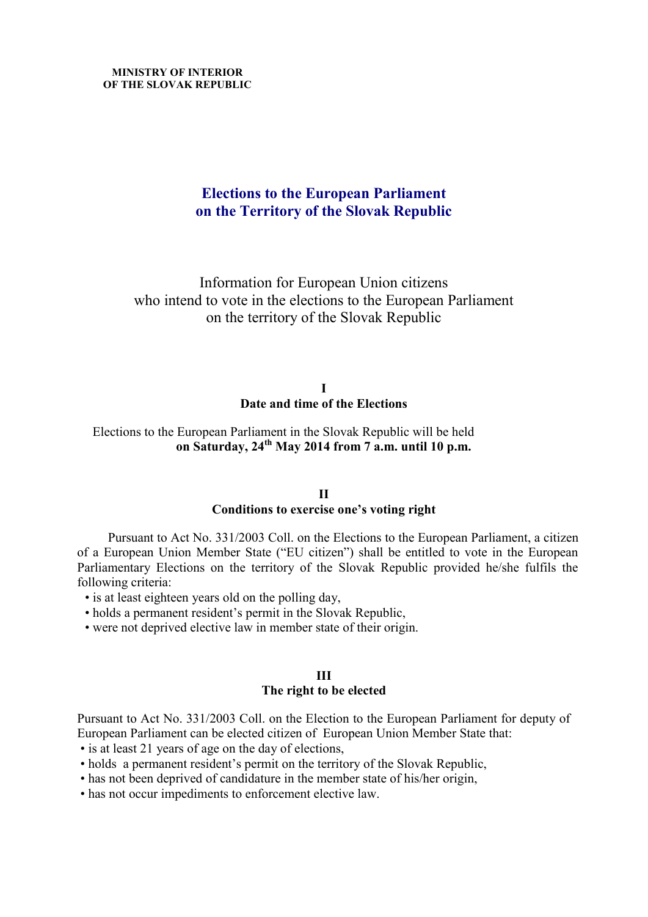# **Elections to the European Parliament on the Territory of the Slovak Republic**

Information for European Union citizens who intend to vote in the elections to the European Parliament on the territory of the Slovak Republic

> **I Date and time of the Elections**

Elections to the European Parliament in the Slovak Republic will be held **on Saturday, 24th May 2014 from 7 a.m. until 10 p.m.**

#### **II**

# **Conditions to exercise one's voting right**

Pursuant to Act No. 331/2003 Coll. on the Elections to the European Parliament, a citizen of a European Union Member State ("EU citizen") shall be entitled to vote in the European Parliamentary Elections on the territory of the Slovak Republic provided he/she fulfils the following criteria:

- is at least eighteen years old on the polling day,
- holds a permanent resident's permit in the Slovak Republic,
- were not deprived elective law in member state of their origin.

#### **III The right to be elected**

Pursuant to Act No. 331/2003 Coll. on the Election to the European Parliament for deputy of European Parliament can be elected citizen of European Union Member State that:

- is at least 21 years of age on the day of elections,
- holds a permanent resident's permit on the territory of the Slovak Republic,
- has not been deprived of candidature in the member state of his/her origin,
- has not occur impediments to enforcement elective law.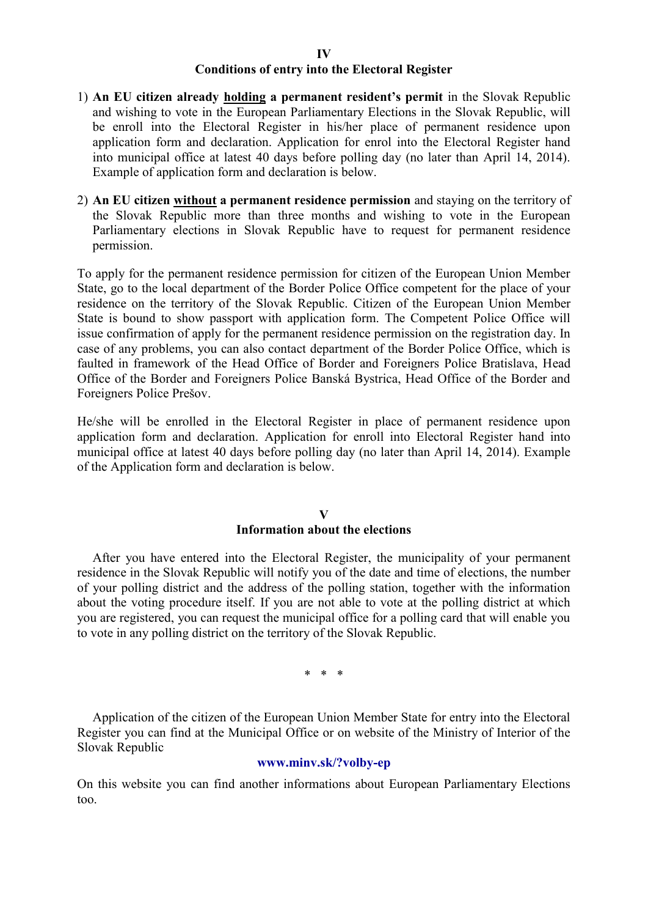#### **IV Conditions of entry into the Electoral Register**

- 1) **An EU citizen already holding a permanent resident's permit** in the Slovak Republic and wishing to vote in the European Parliamentary Elections in the Slovak Republic, will be enroll into the Electoral Register in his/her place of permanent residence upon application form and declaration. Application for enrol into the Electoral Register hand into municipal office at latest 40 days before polling day (no later than April 14, 2014). Example of application form and declaration is below.
- 2) **An EU citizen without a permanent residence permission** and staying on the territory of the Slovak Republic more than three months and wishing to vote in the European Parliamentary elections in Slovak Republic have to request for permanent residence permission.

To apply for the permanent residence permission for citizen of the European Union Member State, go to the local department of the Border Police Office competent for the place of your residence on the territory of the Slovak Republic. Citizen of the European Union Member State is bound to show passport with application form. The Competent Police Office will issue confirmation of apply for the permanent residence permission on the registration day. In case of any problems, you can also contact department of the Border Police Office, which is faulted in framework of the Head Office of Border and Foreigners Police Bratislava, Head Office of the Border and Foreigners Police Banská Bystrica, Head Office of the Border and Foreigners Police Prešov.

He/she will be enrolled in the Electoral Register in place of permanent residence upon application form and declaration. Application for enroll into Electoral Register hand into municipal office at latest 40 days before polling day (no later than April 14, 2014). Example of the Application form and declaration is below.

### **V**

### **Information about the elections**

After you have entered into the Electoral Register, the municipality of your permanent residence in the Slovak Republic will notify you of the date and time of elections, the number of your polling district and the address of the polling station, together with the information about the voting procedure itself. If you are not able to vote at the polling district at which you are registered, you can request the municipal office for a polling card that will enable you to vote in any polling district on the territory of the Slovak Republic.

\* \* \*

Application of the citizen of the European Union Member State for entry into the Electoral Register you can find at the Municipal Office or on website of the Ministry of Interior of the Slovak Republic

#### **www.minv.sk/?volby-ep**

On this website you can find another informations about European Parliamentary Elections too.